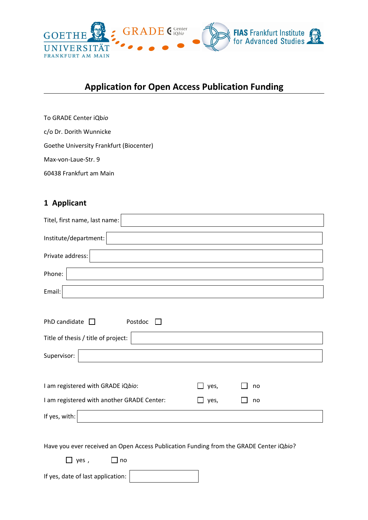

# **Application for Open Access Publication Funding**

To GRADE Center iQb*io* c/o Dr. Dorith Wunnicke Goethe University Frankfurt (Biocenter) Max-von-Laue-Str. 9 60438 Frankfurt am Main

If yes, date of last application:

### **1 Applicant**

| Titel, first name, last name:                                                          |             |    |  |
|----------------------------------------------------------------------------------------|-------------|----|--|
| Institute/department:                                                                  |             |    |  |
| Private address:                                                                       |             |    |  |
| Phone:                                                                                 |             |    |  |
| Email:                                                                                 |             |    |  |
| PhD candidate $\Box$<br>Postdoc<br>$\Box$<br>Title of thesis / title of project:       |             |    |  |
| Supervisor:                                                                            |             |    |  |
| I am registered with GRADE iQbio:                                                      | $\Box$ yes, | no |  |
| I am registered with another GRADE Center:                                             | $\Box$ yes, | no |  |
| If yes, with:                                                                          |             |    |  |
| Have you ever received an Open Access Publication Funding from the GRADE Center iQbio? |             |    |  |
| $\Box$ yes ,<br>$\mathop{\Box}$ no                                                     |             |    |  |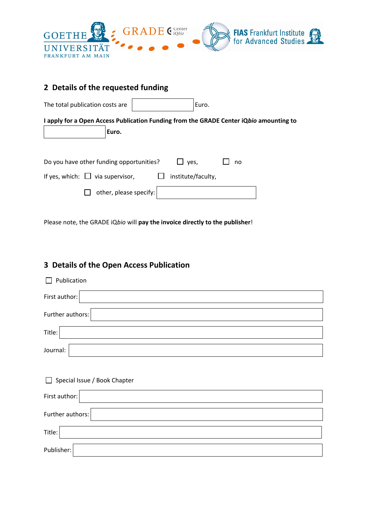

|  |  |  | 2 Details of the requested funding |  |
|--|--|--|------------------------------------|--|
|--|--|--|------------------------------------|--|

| The total publication costs are                                                                 |                    | Euro. |  |
|-------------------------------------------------------------------------------------------------|--------------------|-------|--|
| I apply for a Open Access Publication Funding from the GRADE Center iQbio amounting to<br>Euro. |                    |       |  |
| Do you have other funding opportunities?                                                        | $\Box$ yes,        | no    |  |
| If yes, which: $\Box$ via supervisor,                                                           | institute/faculty, |       |  |
| other, please specify:                                                                          |                    |       |  |

Please note, the GRADE iQ*bio* will **pay the invoice directly to the publisher**!

## **3 Details of the Open Access Publication**

| Publication<br>П                       |
|----------------------------------------|
| First author:                          |
| Further authors:                       |
| Title:                                 |
| Journal:                               |
|                                        |
|                                        |
| Special Issue / Book Chapter<br>$\Box$ |
| First author:                          |
| Further authors:                       |
| Title:                                 |